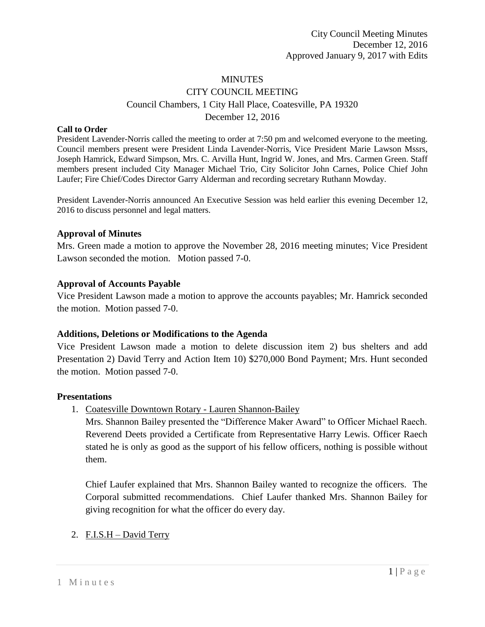#### **MINUTES**

# CITY COUNCIL MEETING Council Chambers, 1 City Hall Place, Coatesville, PA 19320 December 12, 2016

#### **Call to Order**

President Lavender-Norris called the meeting to order at 7:50 pm and welcomed everyone to the meeting. Council members present were President Linda Lavender-Norris, Vice President Marie Lawson Mssrs, Joseph Hamrick, Edward Simpson, Mrs. C. Arvilla Hunt, Ingrid W. Jones, and Mrs. Carmen Green. Staff members present included City Manager Michael Trio, City Solicitor John Carnes, Police Chief John Laufer; Fire Chief/Codes Director Garry Alderman and recording secretary Ruthann Mowday.

President Lavender-Norris announced An Executive Session was held earlier this evening December 12, 2016 to discuss personnel and legal matters.

#### **Approval of Minutes**

Mrs. Green made a motion to approve the November 28, 2016 meeting minutes; Vice President Lawson seconded the motion. Motion passed 7-0.

## **Approval of Accounts Payable**

Vice President Lawson made a motion to approve the accounts payables; Mr. Hamrick seconded the motion. Motion passed 7-0.

## **Additions, Deletions or Modifications to the Agenda**

Vice President Lawson made a motion to delete discussion item 2) bus shelters and add Presentation 2) David Terry and Action Item 10) \$270,000 Bond Payment; Mrs. Hunt seconded the motion. Motion passed 7-0.

#### **Presentations**

1. Coatesville Downtown Rotary - Lauren Shannon-Bailey

Mrs. Shannon Bailey presented the "Difference Maker Award" to Officer Michael Raech. Reverend Deets provided a Certificate from Representative Harry Lewis. Officer Raech stated he is only as good as the support of his fellow officers, nothing is possible without them.

Chief Laufer explained that Mrs. Shannon Bailey wanted to recognize the officers. The Corporal submitted recommendations. Chief Laufer thanked Mrs. Shannon Bailey for giving recognition for what the officer do every day.

## 2. F.I.S.H – David Terry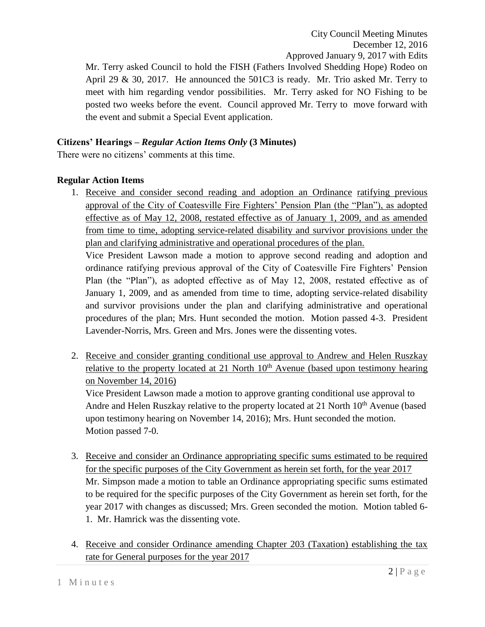City Council Meeting Minutes December 12, 2016 Approved January 9, 2017 with Edits

Mr. Terry asked Council to hold the FISH (Fathers Involved Shedding Hope) Rodeo on April 29 & 30, 2017. He announced the 501C3 is ready. Mr. Trio asked Mr. Terry to meet with him regarding vendor possibilities. Mr. Terry asked for NO Fishing to be posted two weeks before the event. Council approved Mr. Terry to move forward with the event and submit a Special Event application.

# **Citizens' Hearings –** *Regular Action Items Only* **(3 Minutes)**

There were no citizens' comments at this time.

# **Regular Action Items**

1. Receive and consider second reading and adoption an Ordinance ratifying previous approval of the City of Coatesville Fire Fighters' Pension Plan (the "Plan"), as adopted effective as of May 12, 2008, restated effective as of January 1, 2009, and as amended from time to time, adopting service-related disability and survivor provisions under the plan and clarifying administrative and operational procedures of the plan.

Vice President Lawson made a motion to approve second reading and adoption and ordinance ratifying previous approval of the City of Coatesville Fire Fighters' Pension Plan (the "Plan"), as adopted effective as of May 12, 2008, restated effective as of January 1, 2009, and as amended from time to time, adopting service-related disability and survivor provisions under the plan and clarifying administrative and operational procedures of the plan; Mrs. Hunt seconded the motion. Motion passed 4-3. President Lavender-Norris, Mrs. Green and Mrs. Jones were the dissenting votes.

2. Receive and consider granting conditional use approval to Andrew and Helen Ruszkay relative to the property located at 21 North  $10<sup>th</sup>$  Avenue (based upon testimony hearing on November 14, 2016)

Vice President Lawson made a motion to approve granting conditional use approval to Andre and Helen Ruszkay relative to the property located at 21 North 10<sup>th</sup> Avenue (based upon testimony hearing on November 14, 2016); Mrs. Hunt seconded the motion. Motion passed 7-0.

- 3. Receive and consider an Ordinance appropriating specific sums estimated to be required for the specific purposes of the City Government as herein set forth, for the year 2017 Mr. Simpson made a motion to table an Ordinance appropriating specific sums estimated to be required for the specific purposes of the City Government as herein set forth, for the year 2017 with changes as discussed; Mrs. Green seconded the motion. Motion tabled 6- 1. Mr. Hamrick was the dissenting vote.
- 4. Receive and consider Ordinance amending Chapter 203 (Taxation) establishing the tax rate for General purposes for the year 2017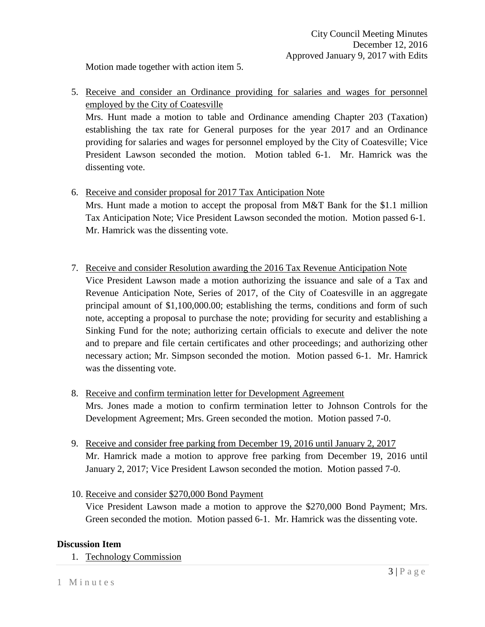Motion made together with action item 5.

5. Receive and consider an Ordinance providing for salaries and wages for personnel employed by the City of Coatesville

Mrs. Hunt made a motion to table and Ordinance amending Chapter 203 (Taxation) establishing the tax rate for General purposes for the year 2017 and an Ordinance providing for salaries and wages for personnel employed by the City of Coatesville; Vice President Lawson seconded the motion. Motion tabled 6-1. Mr. Hamrick was the dissenting vote.

- 6. Receive and consider proposal for 2017 Tax Anticipation Note Mrs. Hunt made a motion to accept the proposal from M&T Bank for the \$1.1 million Tax Anticipation Note; Vice President Lawson seconded the motion. Motion passed 6-1. Mr. Hamrick was the dissenting vote.
- 7. Receive and consider Resolution awarding the 2016 Tax Revenue Anticipation Note Vice President Lawson made a motion authorizing the issuance and sale of a Tax and Revenue Anticipation Note, Series of 2017, of the City of Coatesville in an aggregate principal amount of \$1,100,000.00; establishing the terms, conditions and form of such note, accepting a proposal to purchase the note; providing for security and establishing a Sinking Fund for the note; authorizing certain officials to execute and deliver the note and to prepare and file certain certificates and other proceedings; and authorizing other necessary action; Mr. Simpson seconded the motion. Motion passed 6-1. Mr. Hamrick was the dissenting vote.
- 8. Receive and confirm termination letter for Development Agreement Mrs. Jones made a motion to confirm termination letter to Johnson Controls for the Development Agreement; Mrs. Green seconded the motion. Motion passed 7-0.
- 9. Receive and consider free parking from December 19, 2016 until January 2, 2017 Mr. Hamrick made a motion to approve free parking from December 19, 2016 until January 2, 2017; Vice President Lawson seconded the motion. Motion passed 7-0.
- 10. Receive and consider \$270,000 Bond Payment Vice President Lawson made a motion to approve the \$270,000 Bond Payment; Mrs. Green seconded the motion. Motion passed 6-1. Mr. Hamrick was the dissenting vote.

## **Discussion Item**

1. Technology Commission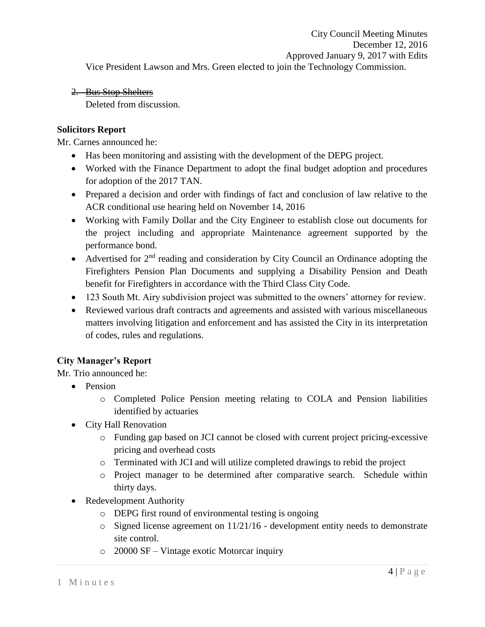# 2. Bus Stop Shelters

Deleted from discussion.

# **Solicitors Report**

Mr. Carnes announced he:

- Has been monitoring and assisting with the development of the DEPG project.
- Worked with the Finance Department to adopt the final budget adoption and procedures for adoption of the 2017 TAN.
- Prepared a decision and order with findings of fact and conclusion of law relative to the ACR conditional use hearing held on November 14, 2016
- Working with Family Dollar and the City Engineer to establish close out documents for the project including and appropriate Maintenance agreement supported by the performance bond.
- Advertised for 2<sup>nd</sup> reading and consideration by City Council an Ordinance adopting the Firefighters Pension Plan Documents and supplying a Disability Pension and Death benefit for Firefighters in accordance with the Third Class City Code.
- 123 South Mt. Airy subdivision project was submitted to the owners' attorney for review.
- Reviewed various draft contracts and agreements and assisted with various miscellaneous matters involving litigation and enforcement and has assisted the City in its interpretation of codes, rules and regulations.

# **City Manager's Report**

Mr. Trio announced he:

- Pension
	- o Completed Police Pension meeting relating to COLA and Pension liabilities identified by actuaries
- City Hall Renovation
	- o Funding gap based on JCI cannot be closed with current project pricing-excessive pricing and overhead costs
	- o Terminated with JCI and will utilize completed drawings to rebid the project
	- o Project manager to be determined after comparative search. Schedule within thirty days.
- Redevelopment Authority
	- o DEPG first round of environmental testing is ongoing
	- o Signed license agreement on 11/21/16 development entity needs to demonstrate site control.
	- o 20000 SF Vintage exotic Motorcar inquiry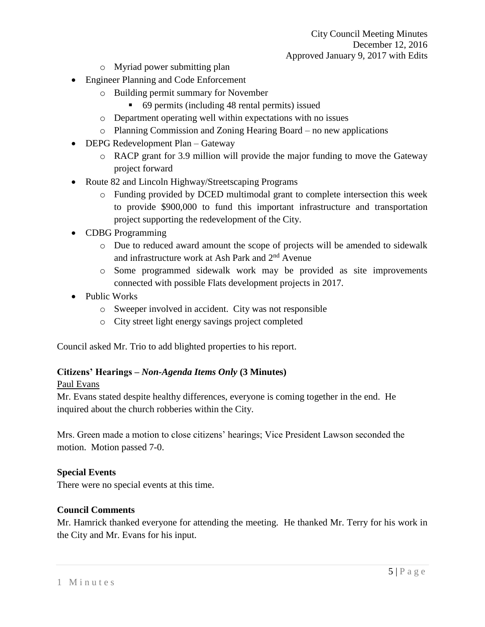City Council Meeting Minutes December 12, 2016 Approved January 9, 2017 with Edits

- o Myriad power submitting plan
- Engineer Planning and Code Enforcement
	- o Building permit summary for November
		- 69 permits (including 48 rental permits) issued
	- o Department operating well within expectations with no issues
	- o Planning Commission and Zoning Hearing Board no new applications
- DEPG Redevelopment Plan Gateway
	- o RACP grant for 3.9 million will provide the major funding to move the Gateway project forward
- Route 82 and Lincoln Highway/Streetscaping Programs
	- o Funding provided by DCED multimodal grant to complete intersection this week to provide \$900,000 to fund this important infrastructure and transportation project supporting the redevelopment of the City.
- CDBG Programming
	- o Due to reduced award amount the scope of projects will be amended to sidewalk and infrastructure work at Ash Park and 2nd Avenue
	- o Some programmed sidewalk work may be provided as site improvements connected with possible Flats development projects in 2017.
- Public Works
	- o Sweeper involved in accident. City was not responsible
	- o City street light energy savings project completed

Council asked Mr. Trio to add blighted properties to his report.

## **Citizens' Hearings –** *Non-Agenda Items Only* **(3 Minutes)**

Paul Evans

Mr. Evans stated despite healthy differences, everyone is coming together in the end. He inquired about the church robberies within the City.

Mrs. Green made a motion to close citizens' hearings; Vice President Lawson seconded the motion. Motion passed 7-0.

## **Special Events**

There were no special events at this time.

# **Council Comments**

Mr. Hamrick thanked everyone for attending the meeting. He thanked Mr. Terry for his work in the City and Mr. Evans for his input.